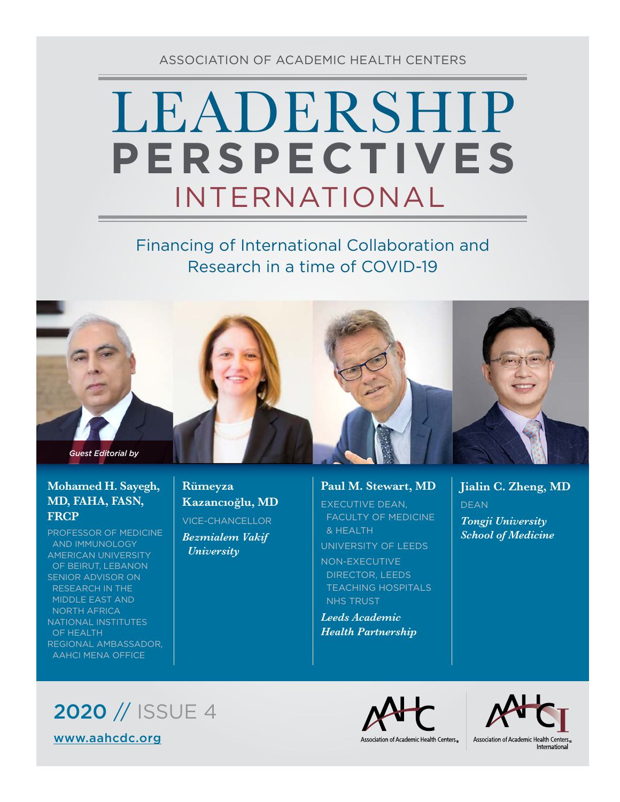ASSOCIATION OF ACADEMIC HEALTH CENTERS

## LEADERSHIP INTERNATIONAL **PERSPECTIVES**

### Financing of International Collaboration and Research in a time of COVID-19



### **Mohamed H. Sayegh, MD, FAHA, FASN, FRCP**

PROFESSOR OF MEDICINE AND IMMUNOLOGY AMERICAN UNIVERSITY OF BEIRUT, LEBANON SENIOR ADVISOR ON RESEARCH IN THE MIDDLE EAST AND NORTH AFRICA NATIONAL INSTITUTES OF HEALTH REGIONAL AMBASSADOR, AAHCI MENA OFFICE

**Rümeyza Kazancıoğlu, MD** VICE-CHANCELLOR *Bezmialem Vakif University*

### **Paul M. Stewart, MD**

EXECUTIVE DEAN, FACULTY OF MEDICINE & HEALTH UNIVERSITY OF LEEDS NON-EXECUTIVE DIRECTOR, LEEDS TEACHING HOSPITALS NHS TRUST

*Leeds Academic Health Partnership* **Jialin C. Zheng, MD** DEAN *Tongji University School of Medicine*





Association of Academic Health Centers®

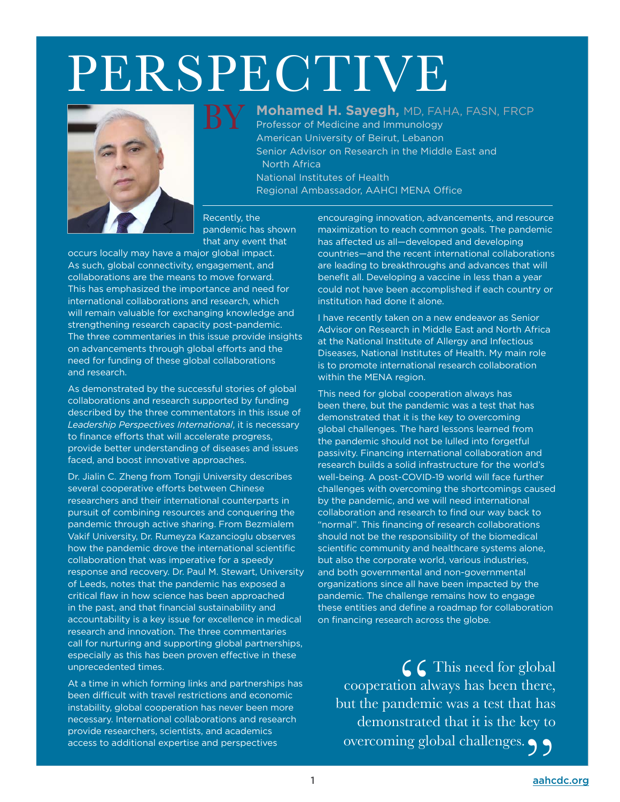# **PERSPECTIVE**

BY



**Mohamed H. Sayegh,** MD, FAHA, FASN, FRCP

Professor of Medicine and Immunology American University of Beirut, Lebanon Senior Advisor on Research in the Middle East and North Africa National Institutes of Health Regional Ambassador, AAHCI MENA Office

Recently, the pandemic has shown that any event that

occurs locally may have a major global impact. As such, global connectivity, engagement, and collaborations are the means to move forward. This has emphasized the importance and need for international collaborations and research, which will remain valuable for exchanging knowledge and strengthening research capacity post-pandemic. The three commentaries in this issue provide insights on advancements through global efforts and the need for funding of these global collaborations and research.

As demonstrated by the successful stories of global collaborations and research supported by funding described by the three commentators in this issue of *Leadership Perspectives International*, it is necessary to finance efforts that will accelerate progress, provide better understanding of diseases and issues faced, and boost innovative approaches.

Dr. Jialin C. Zheng from Tongji University describes several cooperative efforts between Chinese researchers and their international counterparts in pursuit of combining resources and conquering the pandemic through active sharing. From Bezmialem Vakif University, Dr. Rumeyza Kazancioglu observes how the pandemic drove the international scientific collaboration that was imperative for a speedy response and recovery. Dr. Paul M. Stewart, University of Leeds, notes that the pandemic has exposed a critical flaw in how science has been approached in the past, and that financial sustainability and accountability is a key issue for excellence in medical research and innovation. The three commentaries call for nurturing and supporting global partnerships, especially as this has been proven effective in these unprecedented times.

At a time in which forming links and partnerships has been difficult with travel restrictions and economic instability, global cooperation has never been more necessary. International collaborations and research provide researchers, scientists, and academics access to additional expertise and perspectives

encouraging innovation, advancements, and resource maximization to reach common goals. The pandemic has affected us all—developed and developing countries—and the recent international collaborations are leading to breakthroughs and advances that will benefit all. Developing a vaccine in less than a year could not have been accomplished if each country or institution had done it alone.

I have recently taken on a new endeavor as Senior Advisor on Research in Middle East and North Africa at the National Institute of Allergy and Infectious Diseases, National Institutes of Health. My main role is to promote international research collaboration within the MENA region.

This need for global cooperation always has been there, but the pandemic was a test that has demonstrated that it is the key to overcoming global challenges. The hard lessons learned from the pandemic should not be lulled into forgetful passivity. Financing international collaboration and research builds a solid infrastructure for the world's well-being. A post-COVID-19 world will face further challenges with overcoming the shortcomings caused by the pandemic, and we will need international collaboration and research to find our way back to "normal". This financing of research collaborations should not be the responsibility of the biomedical scientific community and healthcare systems alone, but also the corporate world, various industries, and both governmental and non-governmental organizations since all have been impacted by the pandemic. The challenge remains how to engage these entities and define a roadmap for collaboration on financing research across the globe.

 $\sqrt{2}$  This need for global cooperation always has been there, but the pandemic was a test that has demonstrated that it is the key to overcoming global challenges.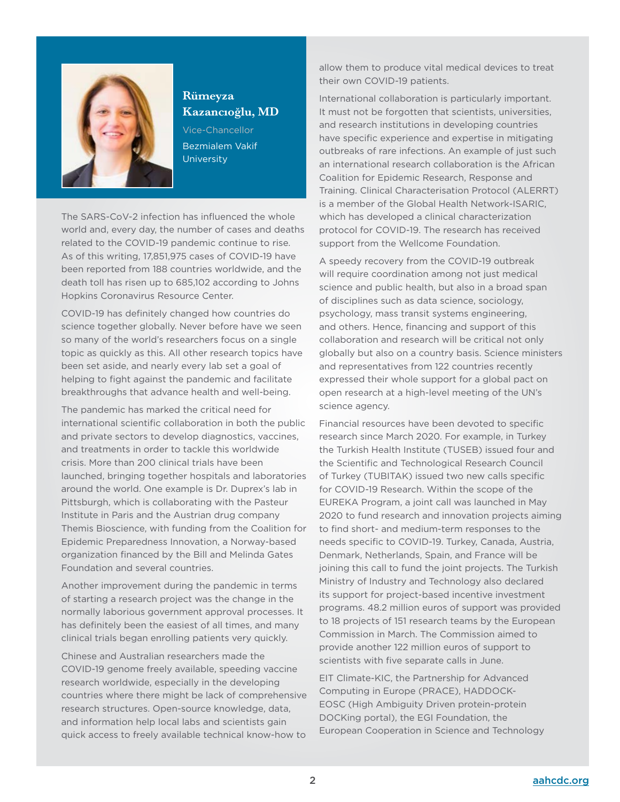

### **Rümeyza Kazancıoğlu, MD**

Vice-Chancellor Bezmialem Vakif **University** 

The SARS-CoV-2 infection has influenced the whole world and, every day, the number of cases and deaths related to the COVID-19 pandemic continue to rise. As of this writing, 17,851,975 cases of COVID-19 have been reported from 188 countries worldwide, and the death toll has risen up to 685,102 according to Johns Hopkins Coronavirus Resource Center.

COVID-19 has definitely changed how countries do science together globally. Never before have we seen so many of the world's researchers focus on a single topic as quickly as this. All other research topics have been set aside, and nearly every lab set a goal of helping to fight against the pandemic and facilitate breakthroughs that advance health and well-being.

The pandemic has marked the critical need for international scientific collaboration in both the public and private sectors to develop diagnostics, vaccines, and treatments in order to tackle this worldwide crisis. More than 200 clinical trials have been launched, bringing together hospitals and laboratories around the world. One example is Dr. Duprex's lab in Pittsburgh, which is collaborating with the Pasteur Institute in Paris and the Austrian drug company Themis Bioscience, with funding from the Coalition for Epidemic Preparedness Innovation, a Norway-based organization financed by the Bill and Melinda Gates Foundation and several countries.

Another improvement during the pandemic in terms of starting a research project was the change in the normally laborious government approval processes. It has definitely been the easiest of all times, and many clinical trials began enrolling patients very quickly.

Chinese and Australian researchers made the COVID-19 genome freely available, speeding vaccine research worldwide, especially in the developing countries where there might be lack of comprehensive research structures. Open-source knowledge, data, and information help local labs and scientists gain quick access to freely available technical know-how to

allow them to produce vital medical devices to treat their own COVID-19 patients.

International collaboration is particularly important. It must not be forgotten that scientists, universities, and research institutions in developing countries have specific experience and expertise in mitigating outbreaks of rare infections. An example of just such an international research collaboration is the African Coalition for Epidemic Research, Response and Training. Clinical Characterisation Protocol (ALERRT) is a member of the Global Health Network-ISARIC, which has developed a clinical characterization protocol for COVID-19. The research has received support from the Wellcome Foundation.

A speedy recovery from the COVID-19 outbreak will require coordination among not just medical science and public health, but also in a broad span of disciplines such as data science, sociology, psychology, mass transit systems engineering, and others. Hence, financing and support of this collaboration and research will be critical not only globally but also on a country basis. Science ministers and representatives from 122 countries recently expressed their whole support for a global pact on open research at a high-level meeting of the UN's science agency.

Financial resources have been devoted to specific research since March 2020. For example, in Turkey the Turkish Health Institute (TUSEB) issued four and the Scientific and Technological Research Council of Turkey (TUBITAK) issued two new calls specific for COVID-19 Research. Within the scope of the EUREKA Program, a joint call was launched in May 2020 to fund research and innovation projects aiming to find short- and medium-term responses to the needs specific to COVID-19. Turkey, Canada, Austria, Denmark, Netherlands, Spain, and France will be joining this call to fund the joint projects. The Turkish Ministry of Industry and Technology also declared its support for project-based incentive investment programs. 48.2 million euros of support was provided to 18 projects of 151 research teams by the European Commission in March. The Commission aimed to provide another 122 million euros of support to scientists with five separate calls in June.

EIT Climate-KIC, the Partnership for Advanced Computing in Europe (PRACE), HADDOCK-EOSC (High Ambiguity Driven protein-protein DOCKing portal), the EGI Foundation, the European Cooperation in Science and Technology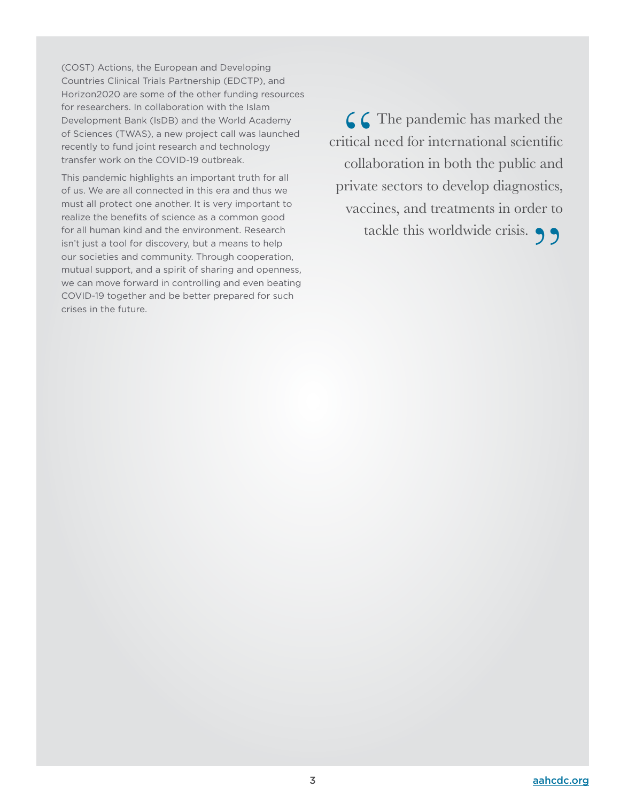(COST) Actions, the European and Developing Countries Clinical Trials Partnership (EDCTP), and Horizon2020 are some of the other funding resources for researchers. In collaboration with the Islam Development Bank (IsDB) and the World Academy of Sciences (TWAS), a new project call was launched recently to fund joint research and technology transfer work on the COVID-19 outbreak.

This pandemic highlights an important truth for all of us. We are all connected in this era and thus we must all protect one another. It is very important to realize the benefits of science as a common good for all human kind and the environment. Research isn't just a tool for discovery, but a means to help our societies and community. Through cooperation, mutual support, and a spirit of sharing and openness, we can move forward in controlling and even beating COVID-19 together and be better prepared for such crises in the future.

 $\bigcap$   $\bigcap$  The pandemic has marked the critical need for international scientific collaboration in both the public and private sectors to develop diagnostics, vaccines, and treatments in order to tackle this worldwide crisis.  $\bigcirc$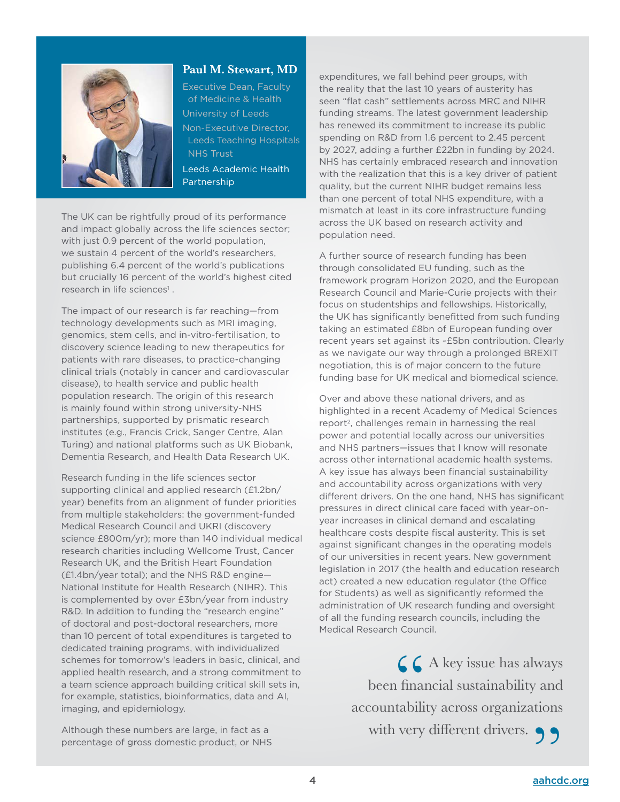

### **Paul M. Stewart, MD**

Executive Dean, Faculty of Medicine & Health University of Leeds Non-Executive Director, Leeds Teaching Hospitals NHS Trust

Leeds Academic Health Partnership

The UK can be rightfully proud of its performance and impact globally across the life sciences sector; with just 0.9 percent of the world population, we sustain 4 percent of the world's researchers, publishing 6.4 percent of the world's publications but crucially 16 percent of the world's highest cited research in life sciences<sup>1</sup>.

The impact of our research is far reaching—from technology developments such as MRI imaging, genomics, stem cells, and in-vitro-fertilisation, to discovery science leading to new therapeutics for patients with rare diseases, to practice-changing clinical trials (notably in cancer and cardiovascular disease), to health service and public health population research. The origin of this research is mainly found within strong university-NHS partnerships, supported by prismatic research institutes (e.g., Francis Crick, Sanger Centre, Alan Turing) and national platforms such as UK Biobank, Dementia Research, and Health Data Research UK.

Research funding in the life sciences sector supporting clinical and applied research (£1.2bn/ year) benefits from an alignment of funder priorities from multiple stakeholders: the government-funded Medical Research Council and UKRI (discovery science £800m/yr); more than 140 individual medical research charities including Wellcome Trust, Cancer Research UK, and the British Heart Foundation (£1.4bn/year total); and the NHS R&D engine— National Institute for Health Research (NIHR). This is complemented by over £3bn/year from industry R&D. In addition to funding the "research engine" of doctoral and post-doctoral researchers, more than 10 percent of total expenditures is targeted to dedicated training programs, with individualized schemes for tomorrow's leaders in basic, clinical, and applied health research, and a strong commitment to a team science approach building critical skill sets in, for example, statistics, bioinformatics, data and AI, imaging, and epidemiology.

Although these numbers are large, in fact as a percentage of gross domestic product, or NHS

expenditures, we fall behind peer groups, with the reality that the last 10 years of austerity has seen "flat cash" settlements across MRC and NIHR funding streams. The latest government leadership has renewed its commitment to increase its public spending on R&D from 1.6 percent to 2.45 percent by 2027, adding a further £22bn in funding by 2024. NHS has certainly embraced research and innovation with the realization that this is a key driver of patient quality, but the current NIHR budget remains less than one percent of total NHS expenditure, with a mismatch at least in its core infrastructure funding across the UK based on research activity and population need.

A further source of research funding has been through consolidated EU funding, such as the framework program Horizon 2020, and the European Research Council and Marie-Curie projects with their focus on studentships and fellowships. Historically, the UK has significantly benefitted from such funding taking an estimated £8bn of European funding over recent years set against its ~£5bn contribution. Clearly as we navigate our way through a prolonged BREXIT negotiation, this is of major concern to the future funding base for UK medical and biomedical science.

Over and above these national drivers, and as highlighted in a recent Academy of Medical Sciences report<sup>2</sup>, challenges remain in harnessing the real power and potential locally across our universities and NHS partners—issues that I know will resonate across other international academic health systems. A key issue has always been financial sustainability and accountability across organizations with very different drivers. On the one hand, NHS has significant pressures in direct clinical care faced with year-onyear increases in clinical demand and escalating healthcare costs despite fiscal austerity. This is set against significant changes in the operating models of our universities in recent years. New government legislation in 2017 (the health and education research act) created a new education regulator (the Office for Students) as well as significantly reformed the administration of UK research funding and oversight of all the funding research councils, including the Medical Research Council.

> $\begin{array}{c} \begin{array}{c} \text{$\bigcirc$} \text{$\bigcirc$} \text{$\bigcirc$} \text{$\bigcirc$} \text{$\bigcirc$} \text{$\bigcirc$} \text{as always} \\ \text{been financial sustainability and}\\ \text{accountability across organizations} \end{array} \end{array}$ been financial sustainability and with very different drivers.  $\bigcirc$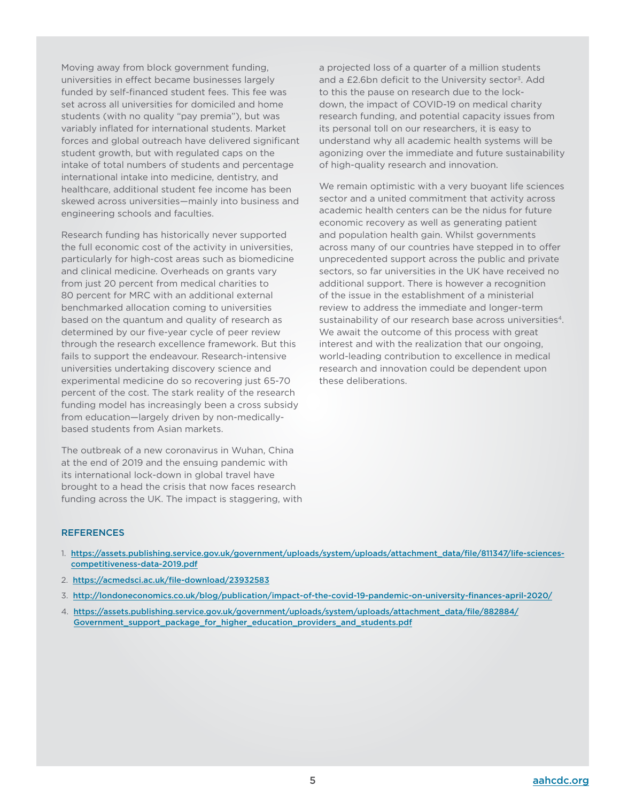Moving away from block government funding, universities in effect became businesses largely funded by self-financed student fees. This fee was set across all universities for domiciled and home students (with no quality "pay premia"), but was variably inflated for international students. Market forces and global outreach have delivered significant student growth, but with regulated caps on the intake of total numbers of students and percentage international intake into medicine, dentistry, and healthcare, additional student fee income has been skewed across universities—mainly into business and engineering schools and faculties.

Research funding has historically never supported the full economic cost of the activity in universities, particularly for high-cost areas such as biomedicine and clinical medicine. Overheads on grants vary from just 20 percent from medical charities to 80 percent for MRC with an additional external benchmarked allocation coming to universities based on the quantum and quality of research as determined by our five-year cycle of peer review through the research excellence framework. But this fails to support the endeavour. Research-intensive universities undertaking discovery science and experimental medicine do so recovering just 65-70 percent of the cost. The stark reality of the research funding model has increasingly been a cross subsidy from education—largely driven by non-medicallybased students from Asian markets.

The outbreak of a new coronavirus in Wuhan, China at the end of 2019 and the ensuing pandemic with its international lock-down in global travel have brought to a head the crisis that now faces research funding across the UK. The impact is staggering, with a projected loss of a quarter of a million students and a £2.6bn deficit to the University sector<sup>3</sup>. Add to this the pause on research due to the lockdown, the impact of COVID-19 on medical charity research funding, and potential capacity issues from its personal toll on our researchers, it is easy to understand why all academic health systems will be agonizing over the immediate and future sustainability of high-quality research and innovation.

We remain optimistic with a very buoyant life sciences sector and a united commitment that activity across academic health centers can be the nidus for future economic recovery as well as generating patient and population health gain. Whilst governments across many of our countries have stepped in to offer unprecedented support across the public and private sectors, so far universities in the UK have received no additional support. There is however a recognition of the issue in the establishment of a ministerial review to address the immediate and longer-term sustainability of our research base across universities<sup>4</sup>. We await the outcome of this process with great interest and with the realization that our ongoing, world-leading contribution to excellence in medical research and innovation could be dependent upon these deliberations.

#### **REFERENCES**

- 1. [https://assets.publishing.service.gov.uk/government/uploads/system/uploads/attachment\\_data/file/811347/life-sciences](https://assets.publishing.service.gov.uk/government/uploads/system/uploads/attachment_data/file/811347/life-sciences-competitiveness-data-2019.pdf)[competitiveness-data-2019.pdf](https://assets.publishing.service.gov.uk/government/uploads/system/uploads/attachment_data/file/811347/life-sciences-competitiveness-data-2019.pdf)
- 2. <https://acmedsci.ac.uk/file-download/23932583>
- 3. [http://londoneconomics.co.uk/blog/publication/impact-of-the-covid-19-pandemic-on-university-finances-april-2020/](http://londoneconomics.co.uk/blog/publication/impact-of-the-covid-19-pandemic-on-university-finances-april-2020/)
- 4. [https://assets.publishing.service.gov.uk/government/uploads/system/uploads/attachment\\_data/file/882884/](https://assets.publishing.service.gov.uk/government/uploads/system/uploads/attachment_data/file/882884/Government_support_package_for_higher_education_providers_and_students.pdf) [Government\\_support\\_package\\_for\\_higher\\_education\\_providers\\_and\\_students.pdf](https://assets.publishing.service.gov.uk/government/uploads/system/uploads/attachment_data/file/882884/Government_support_package_for_higher_education_providers_and_students.pdf)